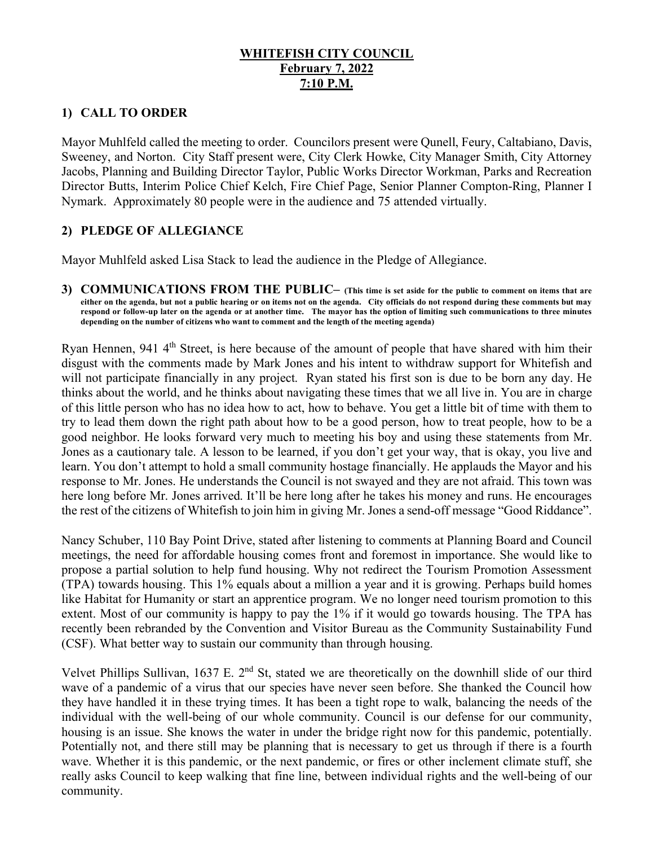# **WHITEFISH CITY COUNCIL February 7, 2022 7:10 P.M.**

# **1) CALL TO ORDER**

Mayor Muhlfeld called the meeting to order. Councilors present were Qunell, Feury, Caltabiano, Davis, Sweeney, and Norton. City Staff present were, City Clerk Howke, City Manager Smith, City Attorney Jacobs, Planning and Building Director Taylor, Public Works Director Workman, Parks and Recreation Director Butts, Interim Police Chief Kelch, Fire Chief Page, Senior Planner Compton-Ring, Planner I Nymark. Approximately 80 people were in the audience and 75 attended virtually.

# **2) PLEDGE OF ALLEGIANCE**

Mayor Muhlfeld asked Lisa Stack to lead the audience in the Pledge of Allegiance.

**3) COMMUNICATIONS FROM THE PUBLIC– (This time is set aside for the public to comment on items that are either on the agenda, but not a public hearing or on items not on the agenda. City officials do not respond during these comments but may respond or follow-up later on the agenda or at another time. The mayor has the option of limiting such communications to three minutes depending on the number of citizens who want to comment and the length of the meeting agenda)** 

Ryan Hennen, 941 4<sup>th</sup> Street, is here because of the amount of people that have shared with him their disgust with the comments made by Mark Jones and his intent to withdraw support for Whitefish and will not participate financially in any project. Ryan stated his first son is due to be born any day. He thinks about the world, and he thinks about navigating these times that we all live in. You are in charge of this little person who has no idea how to act, how to behave. You get a little bit of time with them to try to lead them down the right path about how to be a good person, how to treat people, how to be a good neighbor. He looks forward very much to meeting his boy and using these statements from Mr. Jones as a cautionary tale. A lesson to be learned, if you don't get your way, that is okay, you live and learn. You don't attempt to hold a small community hostage financially. He applauds the Mayor and his response to Mr. Jones. He understands the Council is not swayed and they are not afraid. This town was here long before Mr. Jones arrived. It'll be here long after he takes his money and runs. He encourages the rest of the citizens of Whitefish to join him in giving Mr. Jones a send-off message "Good Riddance".

Nancy Schuber, 110 Bay Point Drive, stated after listening to comments at Planning Board and Council meetings, the need for affordable housing comes front and foremost in importance. She would like to propose a partial solution to help fund housing. Why not redirect the Tourism Promotion Assessment (TPA) towards housing. This 1% equals about a million a year and it is growing. Perhaps build homes like Habitat for Humanity or start an apprentice program. We no longer need tourism promotion to this extent. Most of our community is happy to pay the 1% if it would go towards housing. The TPA has recently been rebranded by the Convention and Visitor Bureau as the Community Sustainability Fund (CSF). What better way to sustain our community than through housing.

Velvet Phillips Sullivan, 1637 E. 2<sup>nd</sup> St, stated we are theoretically on the downhill slide of our third wave of a pandemic of a virus that our species have never seen before. She thanked the Council how they have handled it in these trying times. It has been a tight rope to walk, balancing the needs of the individual with the well-being of our whole community. Council is our defense for our community, housing is an issue. She knows the water in under the bridge right now for this pandemic, potentially. Potentially not, and there still may be planning that is necessary to get us through if there is a fourth wave. Whether it is this pandemic, or the next pandemic, or fires or other inclement climate stuff, she really asks Council to keep walking that fine line, between individual rights and the well-being of our community.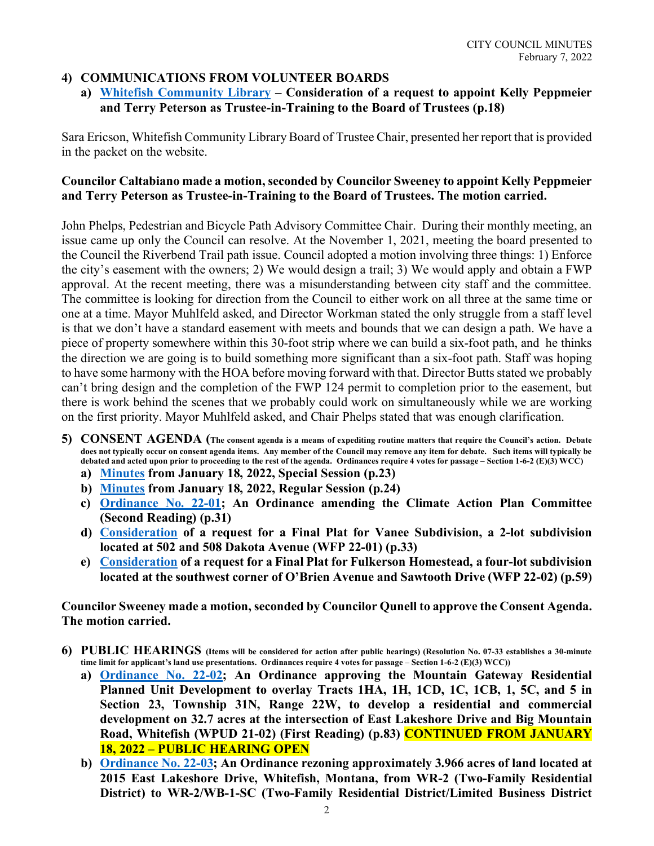#### **4) COMMUNICATIONS FROM VOLUNTEER BOARDS**

**a) [Whitefish Community Library](https://cityofwhitefishmt.sharepoint.com/:b:/g/documents/EfuVuU8kvl1DnVNZubJPGWUBT0n7XpdMBon5FSrQJkV9ig?e=BIQqEU) – Consideration of a request to appoint Kelly Peppmeier and Terry Peterson as Trustee-in-Training to the Board of Trustees (p.18)**

Sara Ericson, Whitefish Community Library Board of Trustee Chair, presented her report that is provided in the packet on the website.

### **Councilor Caltabiano made a motion, seconded by Councilor Sweeney to appoint Kelly Peppmeier and Terry Peterson as Trustee-in-Training to the Board of Trustees. The motion carried.**

John Phelps, Pedestrian and Bicycle Path Advisory Committee Chair. During their monthly meeting, an issue came up only the Council can resolve. At the November 1, 2021, meeting the board presented to the Council the Riverbend Trail path issue. Council adopted a motion involving three things: 1) Enforce the city's easement with the owners; 2) We would design a trail; 3) We would apply and obtain a FWP approval. At the recent meeting, there was a misunderstanding between city staff and the committee. The committee is looking for direction from the Council to either work on all three at the same time or one at a time. Mayor Muhlfeld asked, and Director Workman stated the only struggle from a staff level is that we don't have a standard easement with meets and bounds that we can design a path. We have a piece of property somewhere within this 30-foot strip where we can build a six-foot path, and he thinks the direction we are going is to build something more significant than a six-foot path. Staff was hoping to have some harmony with the HOA before moving forward with that. Director Butts stated we probably can't bring design and the completion of the FWP 124 permit to completion prior to the easement, but there is work behind the scenes that we probably could work on simultaneously while we are working on the first priority. Mayor Muhlfeld asked, and Chair Phelps stated that was enough clarification.

- **5) CONSENT AGENDA (The consent agenda is a means of expediting routine matters that require the Council's action. Debate does not typically occur on consent agenda items. Any member of the Council may remove any item for debate. Such items will typically be debated and acted upon prior to proceeding to the rest of the agenda. Ordinances require 4 votes for passage – Section 1-6-2 (E)(3) WCC)**
	- **a) [Minutes](https://cityofwhitefishmt.sharepoint.com/:b:/g/documents/EdRjWjG4m7VNoA15WWlSR58BO8geby_4qcH1K31AW2KUCA?e=wLT7qm) from January 18, 2022, Special Session (p.23)**
	- **b) [Minutes](https://cityofwhitefishmt.sharepoint.com/:b:/g/documents/ETQeGOAq7x5Iv_mx0XJNaA0B5U3gM9f3hOWHLg_jMDtV0Q?e=Kh9B5n) from January 18, 2022, Regular Session (p.24)**
	- **c) [Ordinance No. 22-01;](https://cityofwhitefishmt.sharepoint.com/:b:/g/documents/ETAkGr2fh0xFiVsyKUXu0z8Bh0UM32RjutY7ptzynVRFcg?e=k94m1W) An Ordinance amending the Climate Action Plan Committee (Second Reading) (p.31)**
	- **d) [Consideration](https://cityofwhitefishmt.sharepoint.com/:b:/g/documents/EZlc-1FD0G9Kr57ChVQz800B9WLoXia4Pta-iiZUCVTkMQ?e=gfQwBv) of a request for a Final Plat for Vanee Subdivision, a 2-lot subdivision located at 502 and 508 Dakota Avenue (WFP 22-01) (p.33)**
	- **e) [Consideration](https://cityofwhitefishmt.sharepoint.com/:b:/g/documents/ETTBDEsK3HZOh8kqmpzSSRABJofF8iC_eV9USR3LEZfy7A?e=Mnhq31) of a request for a Final Plat for Fulkerson Homestead, a four-lot subdivision located at the southwest corner of O'Brien Avenue and Sawtooth Drive (WFP 22-02) (p.59)**

**Councilor Sweeney made a motion, seconded by Councilor Qunell to approve the Consent Agenda. The motion carried.** 

- **6) PUBLIC HEARINGS (Items will be considered for action after public hearings) (Resolution No. 07-33 establishes a 30-minute time limit for applicant's land use presentations. Ordinances require 4 votes for passage – Section 1-6-2 (E)(3) WCC))**
	- **a) [Ordinance No. 22-02;](https://cityofwhitefishmt.sharepoint.com/:b:/g/documents/ESLxoBdffPxIp7EIQgTWXzkBpVKzXvyCnf0KcJJSlWrsXQ?e=7cYR3g) An Ordinance approving the Mountain Gateway Residential Planned Unit Development to overlay Tracts 1HA, 1H, 1CD, 1C, 1CB, 1, 5C, and 5 in Section 23, Township 31N, Range 22W, to develop a residential and commercial development on 32.7 acres at the intersection of East Lakeshore Drive and Big Mountain Road, Whitefish (WPUD 21-02) (First Reading) (p.83) CONTINUED FROM JANUARY 18, 2022 – PUBLIC HEARING OPEN**
	- **b) [Ordinance No. 22-03;](https://cityofwhitefishmt.sharepoint.com/:b:/g/documents/EWBeiGMB_Y1LizeaIsePtWcBaD5nyEEqHXeQ6fPfWtQ3Bg?e=HY5cMf) An Ordinance rezoning approximately 3.966 acres of land located at 2015 East Lakeshore Drive, Whitefish, Montana, from WR-2 (Two-Family Residential District) to WR-2/WB-1-SC (Two-Family Residential District/Limited Business District**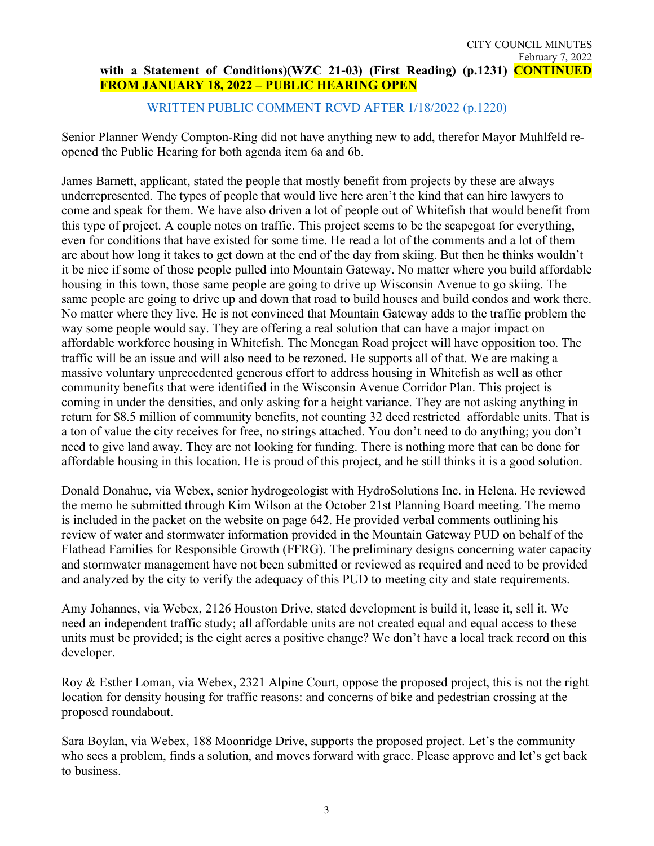#### [WRITTEN PUBLIC COMMENT RCVD AFTER 1/18/2022 \(p.1220\)](https://cityofwhitefishmt.sharepoint.com/:b:/g/documents/Eflshq2SCAFDoKgtwClHTBYBfJXEI9QA04EBAKYMGJxPIQ?e=Gnqsvi)

Senior Planner Wendy Compton-Ring did not have anything new to add, therefor Mayor Muhlfeld reopened the Public Hearing for both agenda item 6a and 6b.

James Barnett, applicant, stated the people that mostly benefit from projects by these are always underrepresented. The types of people that would live here aren't the kind that can hire lawyers to come and speak for them. We have also driven a lot of people out of Whitefish that would benefit from this type of project. A couple notes on traffic. This project seems to be the scapegoat for everything, even for conditions that have existed for some time. He read a lot of the comments and a lot of them are about how long it takes to get down at the end of the day from skiing. But then he thinks wouldn't it be nice if some of those people pulled into Mountain Gateway. No matter where you build affordable housing in this town, those same people are going to drive up Wisconsin Avenue to go skiing. The same people are going to drive up and down that road to build houses and build condos and work there. No matter where they live. He is not convinced that Mountain Gateway adds to the traffic problem the way some people would say. They are offering a real solution that can have a major impact on affordable workforce housing in Whitefish. The Monegan Road project will have opposition too. The traffic will be an issue and will also need to be rezoned. He supports all of that. We are making a massive voluntary unprecedented generous effort to address housing in Whitefish as well as other community benefits that were identified in the Wisconsin Avenue Corridor Plan. This project is coming in under the densities, and only asking for a height variance. They are not asking anything in return for \$8.5 million of community benefits, not counting 32 deed restricted affordable units. That is a ton of value the city receives for free, no strings attached. You don't need to do anything; you don't need to give land away. They are not looking for funding. There is nothing more that can be done for affordable housing in this location. He is proud of this project, and he still thinks it is a good solution.

Donald Donahue, via Webex, senior hydrogeologist with HydroSolutions Inc. in Helena. He reviewed the memo he submitted through Kim Wilson at the October 21st Planning Board meeting. The memo is included in the packet on the website on page 642. He provided verbal comments outlining his review of water and stormwater information provided in the Mountain Gateway PUD on behalf of the Flathead Families for Responsible Growth (FFRG). The preliminary designs concerning water capacity and stormwater management have not been submitted or reviewed as required and need to be provided and analyzed by the city to verify the adequacy of this PUD to meeting city and state requirements.

Amy Johannes, via Webex, 2126 Houston Drive, stated development is build it, lease it, sell it. We need an independent traffic study; all affordable units are not created equal and equal access to these units must be provided; is the eight acres a positive change? We don't have a local track record on this developer.

Roy & Esther Loman, via Webex, 2321 Alpine Court, oppose the proposed project, this is not the right location for density housing for traffic reasons: and concerns of bike and pedestrian crossing at the proposed roundabout.

Sara Boylan, via Webex, 188 Moonridge Drive, supports the proposed project. Let's the community who sees a problem, finds a solution, and moves forward with grace. Please approve and let's get back to business.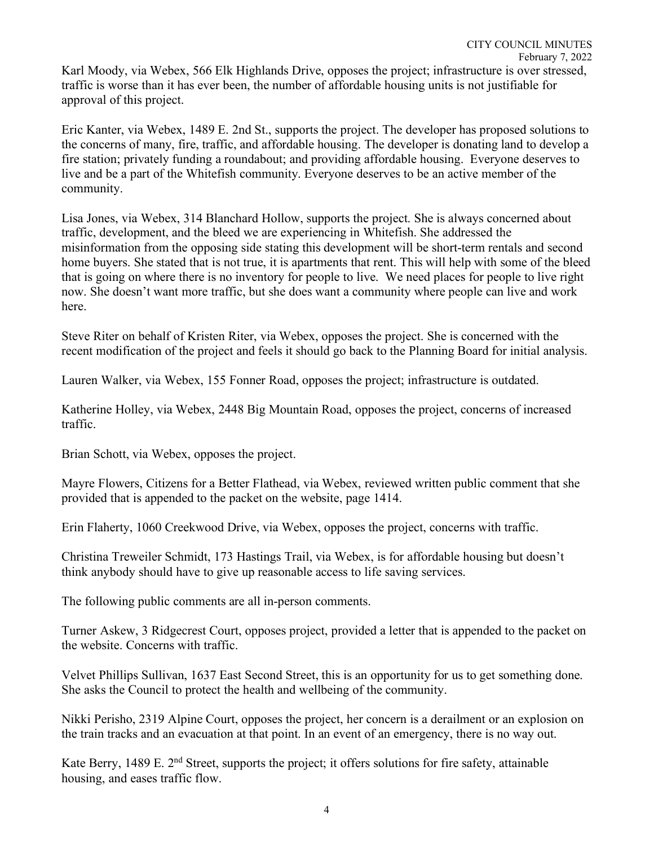Eric Kanter, via Webex, 1489 E. 2nd St., supports the project. The developer has proposed solutions to the concerns of many, fire, traffic, and affordable housing. The developer is donating land to develop a fire station; privately funding a roundabout; and providing affordable housing. Everyone deserves to live and be a part of the Whitefish community. Everyone deserves to be an active member of the community.

Lisa Jones, via Webex, 314 Blanchard Hollow, supports the project. She is always concerned about traffic, development, and the bleed we are experiencing in Whitefish. She addressed the misinformation from the opposing side stating this development will be short-term rentals and second home buyers. She stated that is not true, it is apartments that rent. This will help with some of the bleed that is going on where there is no inventory for people to live. We need places for people to live right now. She doesn't want more traffic, but she does want a community where people can live and work here.

Steve Riter on behalf of Kristen Riter, via Webex, opposes the project. She is concerned with the recent modification of the project and feels it should go back to the Planning Board for initial analysis.

Lauren Walker, via Webex, 155 Fonner Road, opposes the project; infrastructure is outdated.

Katherine Holley, via Webex, 2448 Big Mountain Road, opposes the project, concerns of increased traffic.

Brian Schott, via Webex, opposes the project.

approval of this project.

Mayre Flowers, Citizens for a Better Flathead, via Webex, reviewed written public comment that she provided that is appended to the packet on the website, page 1414.

Erin Flaherty, 1060 Creekwood Drive, via Webex, opposes the project, concerns with traffic.

Christina Treweiler Schmidt, 173 Hastings Trail, via Webex, is for affordable housing but doesn't think anybody should have to give up reasonable access to life saving services.

The following public comments are all in-person comments.

Turner Askew, 3 Ridgecrest Court, opposes project, provided a letter that is appended to the packet on the website. Concerns with traffic.

Velvet Phillips Sullivan, 1637 East Second Street, this is an opportunity for us to get something done. She asks the Council to protect the health and wellbeing of the community.

Nikki Perisho, 2319 Alpine Court, opposes the project, her concern is a derailment or an explosion on the train tracks and an evacuation at that point. In an event of an emergency, there is no way out.

Kate Berry, 1489 E. 2<sup>nd</sup> Street, supports the project; it offers solutions for fire safety, attainable housing, and eases traffic flow.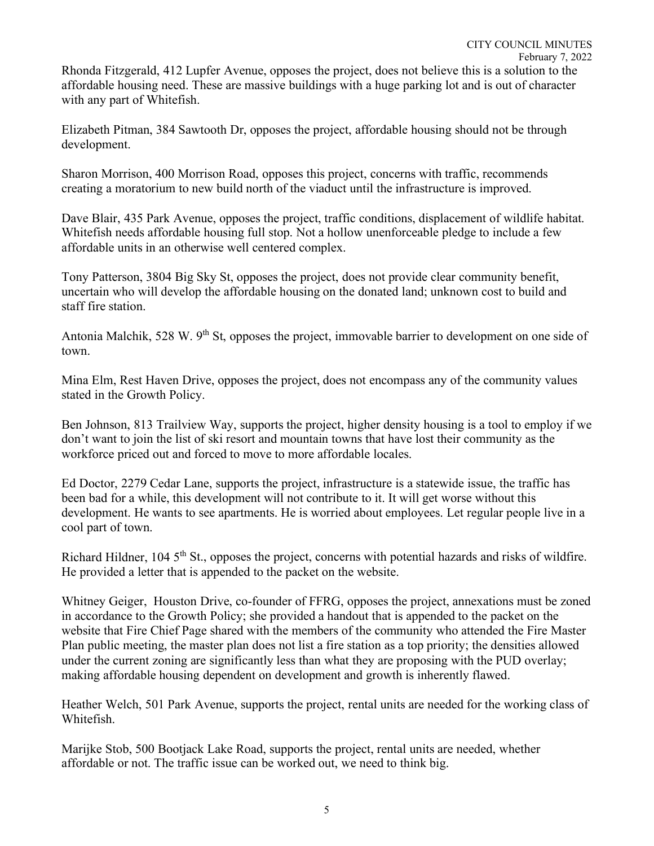Rhonda Fitzgerald, 412 Lupfer Avenue, opposes the project, does not believe this is a solution to the affordable housing need. These are massive buildings with a huge parking lot and is out of character with any part of Whitefish.

Elizabeth Pitman, 384 Sawtooth Dr, opposes the project, affordable housing should not be through development.

Sharon Morrison, 400 Morrison Road, opposes this project, concerns with traffic, recommends creating a moratorium to new build north of the viaduct until the infrastructure is improved.

Dave Blair, 435 Park Avenue, opposes the project, traffic conditions, displacement of wildlife habitat. Whitefish needs affordable housing full stop. Not a hollow unenforceable pledge to include a few affordable units in an otherwise well centered complex.

Tony Patterson, 3804 Big Sky St, opposes the project, does not provide clear community benefit, uncertain who will develop the affordable housing on the donated land; unknown cost to build and staff fire station.

Antonia Malchik, 528 W. 9<sup>th</sup> St, opposes the project, immovable barrier to development on one side of town.

Mina Elm, Rest Haven Drive, opposes the project, does not encompass any of the community values stated in the Growth Policy.

Ben Johnson, 813 Trailview Way, supports the project, higher density housing is a tool to employ if we don't want to join the list of ski resort and mountain towns that have lost their community as the workforce priced out and forced to move to more affordable locales.

Ed Doctor, 2279 Cedar Lane, supports the project, infrastructure is a statewide issue, the traffic has been bad for a while, this development will not contribute to it. It will get worse without this development. He wants to see apartments. He is worried about employees. Let regular people live in a cool part of town.

Richard Hildner, 104 5<sup>th</sup> St., opposes the project, concerns with potential hazards and risks of wildfire. He provided a letter that is appended to the packet on the website.

Whitney Geiger, Houston Drive, co-founder of FFRG, opposes the project, annexations must be zoned in accordance to the Growth Policy; she provided a handout that is appended to the packet on the website that Fire Chief Page shared with the members of the community who attended the Fire Master Plan public meeting, the master plan does not list a fire station as a top priority; the densities allowed under the current zoning are significantly less than what they are proposing with the PUD overlay; making affordable housing dependent on development and growth is inherently flawed.

Heather Welch, 501 Park Avenue, supports the project, rental units are needed for the working class of Whitefish.

Marijke Stob, 500 Bootjack Lake Road, supports the project, rental units are needed, whether affordable or not. The traffic issue can be worked out, we need to think big.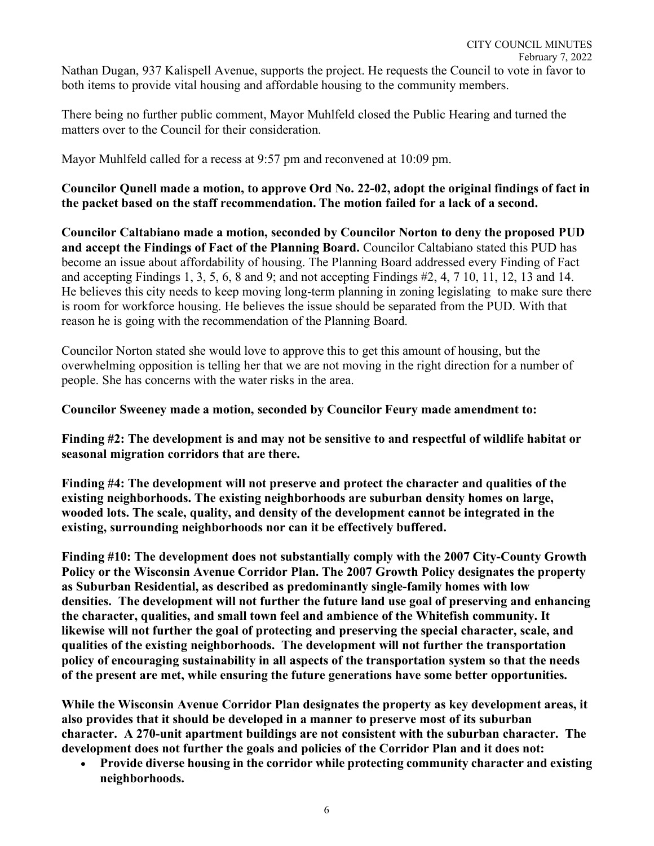There being no further public comment, Mayor Muhlfeld closed the Public Hearing and turned the matters over to the Council for their consideration.

Mayor Muhlfeld called for a recess at 9:57 pm and reconvened at 10:09 pm.

**Councilor Qunell made a motion, to approve Ord No. 22-02, adopt the original findings of fact in the packet based on the staff recommendation. The motion failed for a lack of a second.** 

**Councilor Caltabiano made a motion, seconded by Councilor Norton to deny the proposed PUD and accept the Findings of Fact of the Planning Board.** Councilor Caltabiano stated this PUD has become an issue about affordability of housing. The Planning Board addressed every Finding of Fact and accepting Findings 1, 3, 5, 6, 8 and 9; and not accepting Findings #2, 4, 7 10, 11, 12, 13 and 14. He believes this city needs to keep moving long-term planning in zoning legislating to make sure there is room for workforce housing. He believes the issue should be separated from the PUD. With that reason he is going with the recommendation of the Planning Board.

Councilor Norton stated she would love to approve this to get this amount of housing, but the overwhelming opposition is telling her that we are not moving in the right direction for a number of people. She has concerns with the water risks in the area.

# **Councilor Sweeney made a motion, seconded by Councilor Feury made amendment to:**

**Finding #2: The development is and may not be sensitive to and respectful of wildlife habitat or seasonal migration corridors that are there.** 

**Finding #4: The development will not preserve and protect the character and qualities of the existing neighborhoods. The existing neighborhoods are suburban density homes on large, wooded lots. The scale, quality, and density of the development cannot be integrated in the existing, surrounding neighborhoods nor can it be effectively buffered.** 

**Finding #10: The development does not substantially comply with the 2007 City-County Growth Policy or the Wisconsin Avenue Corridor Plan. The 2007 Growth Policy designates the property as Suburban Residential, as described as predominantly single-family homes with low densities. The development will not further the future land use goal of preserving and enhancing the character, qualities, and small town feel and ambience of the Whitefish community. It likewise will not further the goal of protecting and preserving the special character, scale, and qualities of the existing neighborhoods. The development will not further the transportation policy of encouraging sustainability in all aspects of the transportation system so that the needs of the present are met, while ensuring the future generations have some better opportunities.** 

**While the Wisconsin Avenue Corridor Plan designates the property as key development areas, it also provides that it should be developed in a manner to preserve most of its suburban character. A 270-unit apartment buildings are not consistent with the suburban character. The development does not further the goals and policies of the Corridor Plan and it does not:** 

• **Provide diverse housing in the corridor while protecting community character and existing neighborhoods.**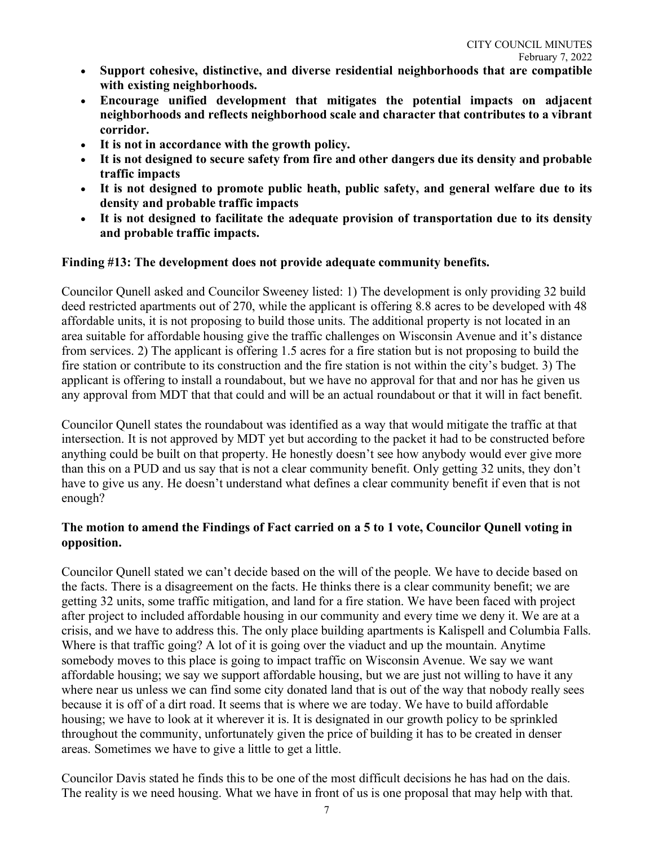- **Support cohesive, distinctive, and diverse residential neighborhoods that are compatible with existing neighborhoods.**
- **Encourage unified development that mitigates the potential impacts on adjacent neighborhoods and reflects neighborhood scale and character that contributes to a vibrant corridor.**
- **It is not in accordance with the growth policy.**
- **It is not designed to secure safety from fire and other dangers due its density and probable traffic impacts**
- **It is not designed to promote public heath, public safety, and general welfare due to its density and probable traffic impacts**
- **It is not designed to facilitate the adequate provision of transportation due to its density and probable traffic impacts.**

# **Finding #13: The development does not provide adequate community benefits.**

Councilor Qunell asked and Councilor Sweeney listed: 1) The development is only providing 32 build deed restricted apartments out of 270, while the applicant is offering 8.8 acres to be developed with 48 affordable units, it is not proposing to build those units. The additional property is not located in an area suitable for affordable housing give the traffic challenges on Wisconsin Avenue and it's distance from services. 2) The applicant is offering 1.5 acres for a fire station but is not proposing to build the fire station or contribute to its construction and the fire station is not within the city's budget. 3) The applicant is offering to install a roundabout, but we have no approval for that and nor has he given us any approval from MDT that that could and will be an actual roundabout or that it will in fact benefit.

Councilor Qunell states the roundabout was identified as a way that would mitigate the traffic at that intersection. It is not approved by MDT yet but according to the packet it had to be constructed before anything could be built on that property. He honestly doesn't see how anybody would ever give more than this on a PUD and us say that is not a clear community benefit. Only getting 32 units, they don't have to give us any. He doesn't understand what defines a clear community benefit if even that is not enough?

# **The motion to amend the Findings of Fact carried on a 5 to 1 vote, Councilor Qunell voting in opposition.**

Councilor Qunell stated we can't decide based on the will of the people. We have to decide based on the facts. There is a disagreement on the facts. He thinks there is a clear community benefit; we are getting 32 units, some traffic mitigation, and land for a fire station. We have been faced with project after project to included affordable housing in our community and every time we deny it. We are at a crisis, and we have to address this. The only place building apartments is Kalispell and Columbia Falls. Where is that traffic going? A lot of it is going over the viaduct and up the mountain. Anytime somebody moves to this place is going to impact traffic on Wisconsin Avenue. We say we want affordable housing; we say we support affordable housing, but we are just not willing to have it any where near us unless we can find some city donated land that is out of the way that nobody really sees because it is off of a dirt road. It seems that is where we are today. We have to build affordable housing; we have to look at it wherever it is. It is designated in our growth policy to be sprinkled throughout the community, unfortunately given the price of building it has to be created in denser areas. Sometimes we have to give a little to get a little.

Councilor Davis stated he finds this to be one of the most difficult decisions he has had on the dais. The reality is we need housing. What we have in front of us is one proposal that may help with that.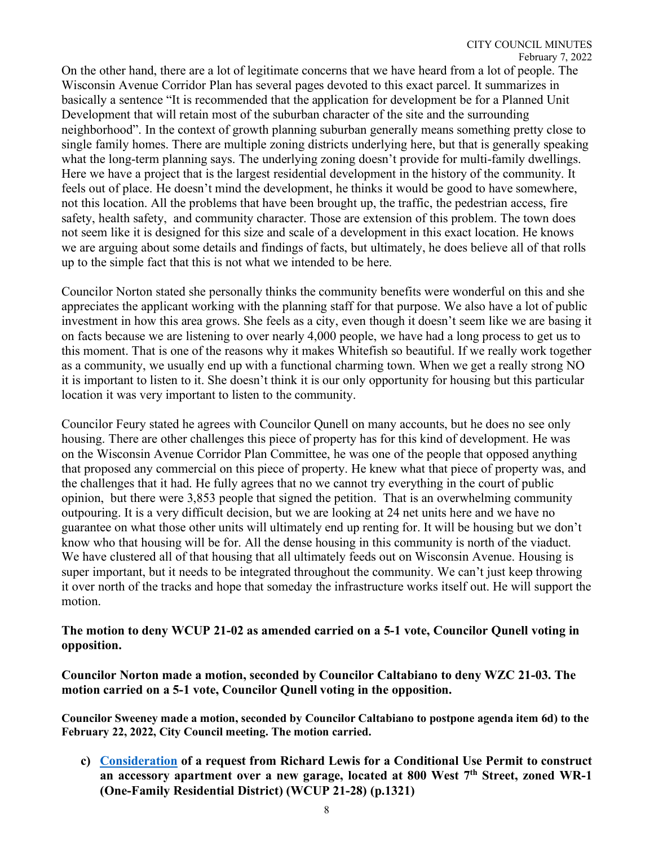On the other hand, there are a lot of legitimate concerns that we have heard from a lot of people. The Wisconsin Avenue Corridor Plan has several pages devoted to this exact parcel. It summarizes in basically a sentence "It is recommended that the application for development be for a Planned Unit Development that will retain most of the suburban character of the site and the surrounding neighborhood". In the context of growth planning suburban generally means something pretty close to single family homes. There are multiple zoning districts underlying here, but that is generally speaking what the long-term planning says. The underlying zoning doesn't provide for multi-family dwellings. Here we have a project that is the largest residential development in the history of the community. It feels out of place. He doesn't mind the development, he thinks it would be good to have somewhere, not this location. All the problems that have been brought up, the traffic, the pedestrian access, fire safety, health safety, and community character. Those are extension of this problem. The town does not seem like it is designed for this size and scale of a development in this exact location. He knows we are arguing about some details and findings of facts, but ultimately, he does believe all of that rolls up to the simple fact that this is not what we intended to be here.

Councilor Norton stated she personally thinks the community benefits were wonderful on this and she appreciates the applicant working with the planning staff for that purpose. We also have a lot of public investment in how this area grows. She feels as a city, even though it doesn't seem like we are basing it on facts because we are listening to over nearly 4,000 people, we have had a long process to get us to this moment. That is one of the reasons why it makes Whitefish so beautiful. If we really work together as a community, we usually end up with a functional charming town. When we get a really strong NO it is important to listen to it. She doesn't think it is our only opportunity for housing but this particular location it was very important to listen to the community.

Councilor Feury stated he agrees with Councilor Qunell on many accounts, but he does no see only housing. There are other challenges this piece of property has for this kind of development. He was on the Wisconsin Avenue Corridor Plan Committee, he was one of the people that opposed anything that proposed any commercial on this piece of property. He knew what that piece of property was, and the challenges that it had. He fully agrees that no we cannot try everything in the court of public opinion, but there were 3,853 people that signed the petition. That is an overwhelming community outpouring. It is a very difficult decision, but we are looking at 24 net units here and we have no guarantee on what those other units will ultimately end up renting for. It will be housing but we don't know who that housing will be for. All the dense housing in this community is north of the viaduct. We have clustered all of that housing that all ultimately feeds out on Wisconsin Avenue. Housing is super important, but it needs to be integrated throughout the community. We can't just keep throwing it over north of the tracks and hope that someday the infrastructure works itself out. He will support the motion.

### **The motion to deny WCUP 21-02 as amended carried on a 5-1 vote, Councilor Qunell voting in opposition.**

**Councilor Norton made a motion, seconded by Councilor Caltabiano to deny WZC 21-03. The motion carried on a 5-1 vote, Councilor Qunell voting in the opposition.** 

**Councilor Sweeney made a motion, seconded by Councilor Caltabiano to postpone agenda item 6d) to the February 22, 2022, City Council meeting. The motion carried.** 

**c) [Consideration](https://cityofwhitefishmt.sharepoint.com/:b:/g/documents/EfTdKNJVcRZAr6kfjNHE8GMBVc7uXbJlysLhJ9zesV6k2g?e=wmAl89) of a request from Richard Lewis for a Conditional Use Permit to construct an accessory apartment over a new garage, located at 800 West 7th Street, zoned WR-1 (One-Family Residential District) (WCUP 21-28) (p.1321)**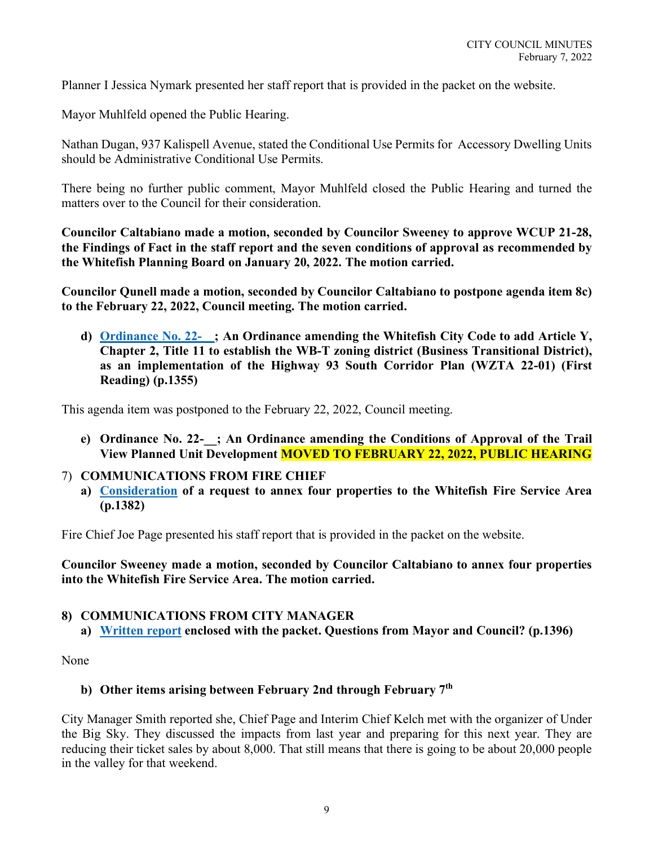Planner I Jessica Nymark presented her staff report that is provided in the packet on the website.

Mayor Muhlfeld opened the Public Hearing.

Nathan Dugan, 937 Kalispell Avenue, stated the Conditional Use Permits for Accessory Dwelling Units should be Administrative Conditional Use Permits.

There being no further public comment, Mayor Muhlfeld closed the Public Hearing and turned the matters over to the Council for their consideration.

**Councilor Caltabiano made a motion, seconded by Councilor Sweeney to approve WCUP 21-28, the Findings of Fact in the staff report and the seven conditions of approval as recommended by the Whitefish Planning Board on January 20, 2022. The motion carried.** 

**Councilor Qunell made a motion, seconded by Councilor Caltabiano to postpone agenda item 8c) to the February 22, 2022, Council meeting. The motion carried.** 

**d) [Ordinance No. 22-\\_\\_;](https://cityofwhitefishmt.sharepoint.com/:b:/g/documents/EVNADlMDUa5Em-rjyue1l5YBSzRRvPyWbZ3y-olEYjIOJw?e=04liV8) An Ordinance amending the Whitefish City Code to add Article Y, Chapter 2, Title 11 to establish the WB-T zoning district (Business Transitional District), as an implementation of the Highway 93 South Corridor Plan (WZTA 22-01) (First Reading) (p.1355)**

This agenda item was postponed to the February 22, 2022, Council meeting.

**e) Ordinance No. 22-\_\_; An Ordinance amending the Conditions of Approval of the Trail View Planned Unit Development MOVED TO FEBRUARY 22, 2022, PUBLIC HEARING**

# 7) **COMMUNICATIONS FROM FIRE CHIEF**

**a) [Consideration](https://cityofwhitefishmt.sharepoint.com/:b:/g/documents/EYGR-j_KRGlEigo8k3-ceuAB98Dq71AXas1ZqTzi-Rt_bA?e=Jb0bzS) of a request to annex four properties to the Whitefish Fire Service Area (p.1382)**

Fire Chief Joe Page presented his staff report that is provided in the packet on the website.

**Councilor Sweeney made a motion, seconded by Councilor Caltabiano to annex four properties into the Whitefish Fire Service Area. The motion carried.** 

# **8) COMMUNICATIONS FROM CITY MANAGER**

**a) [Written report](https://cityofwhitefishmt.sharepoint.com/:b:/g/documents/EX12Umam2ARGrdPXr9Qte2kB_pCZlz3bAKRRao6cncKwkg?e=87YLFv) enclosed with the packet. Questions from Mayor and Council? (p.1396)**

None

# **b) Other items arising between February 2nd through February 7th**

City Manager Smith reported she, Chief Page and Interim Chief Kelch met with the organizer of Under the Big Sky. They discussed the impacts from last year and preparing for this next year. They are reducing their ticket sales by about 8,000. That still means that there is going to be about 20,000 people in the valley for that weekend.